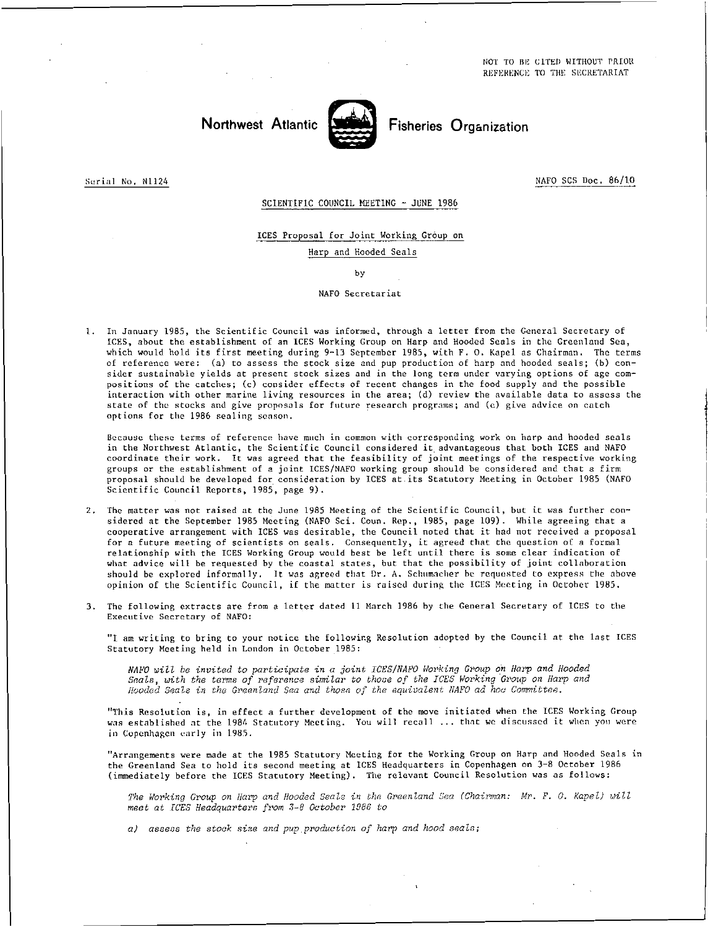NOT TO BE CITED WITHOUT PRIOR REFERENCE. TO THE SECRETARIAT

## Northwest Atlantic **North Fisheries Organization**



Serial No. N1124 NAFO SCS Doc. 86/10

## SCIENTIFIC COUNCIL MEETING - JUNE 1986

ICES Proposal for Joint Working Group on Harp and Hooded Seals

by

## NAFO Secretariat

1. In January 1985, the Scientific Council was informed, through a letter from the General Secretary of ICES, about the establishment of an ICES Working Group on Harp and Hooded Seals in the Greenland Sea, which would hold its first meeting during 9-13 September 1985, with F. O. Kapel as Chairman. The terms of reference were: (a) to assess the stock size and pup production of harp and hooded seals; (b) consider sustainable yields at present stock sizes and in the long term under varying options of age compositions of the catches; (c) consider effects of recent changes in the food supply and the possible interaction with other marine living resources in the area; (d) review the available data to assess the state of the stocks and give proposals for future research programs; and (e) give advice on catch options for the 1986 sealing season.

Because these terms of reference have much in common with corresponding work on harp and hooded seals in the Northwest Atlantic, the Scientific Council considered it advantageous that both ICES and NAFO coordinate their work. It was agreed that the feasibility of joint meetings of the respective working groups or the establishment of a joint ICES/NAFO working group should be considered and that a firm proposal should be developed for consideration by ICES at its Statutory Meeting in October 1985 (NAFO Scientific Council Reports, 1985, page 9).

- 2. The matter was not raised at the June 1985 Meeting of the Scientific Council, but it was further considered at the September 1985 Meeting (NAFO Sci. Coun. Rep., 1985, page 109). While agreeing that a cooperative arrangement with ICES was desirable, the Council noted that it had not received a proposal for a future meeting of scientists on seals. Consequently, it agreed that the question of a formal relationship with the ICES Working Group would best be left until there is some clear indication of what advice will be requested by the coastal states, but that the possibility of joint collaboration should be explored informally. It was agreed that Dr. A. Schumacher he requested to express the above opinion of the Scientific Council, if the matter is raised during the ICES Meeting in Octoher 1985.
- 3. The following extracts are from a letter dated 11 March 1986 by the General Secretary of ICES to the Executive Secretary of NAFO:

"I am writing to bring to your notice the following Resolution adopted by the Council at the last ICES Statutory Meeting held in London in October 1985:

*NAbV will be invited to participate in a joint ICES/NAFO Working Group on Harp and Hooded Seals, with the terms of reference similar to those of the ICES Working Group on Harp and Hooded Seals in the Greenland Sea and those of the equivalent NAFO ad hoc Committee.* 

"'this Resolution is, in effect a further development of the move initiated when the ICES Working Group was established at the 1984 Statutory Meeting. You will recall ... that we discussed it when you were in Copenhagen early in 1985.

"Arrangements were made at the 1985 Statutory Meeting for the Working Group on Harp and Hooded Seals in the Greenland Sea to hold its second meeting at ICES Headquarters in Copenhagen on 3-8 October 1986 (immediately before the ICES Statutory Meeting). The relevant Council Resolution was as follows:

*The Working Group on Harp and Hooded Seals in the Greenland Sea (Chairman: Mr. F. 0. Kapel) will meet at ICES Headquarters from 3-8 October 1086 to* 

*a) assess the stock sine and pup. production of harp and hood seals;*